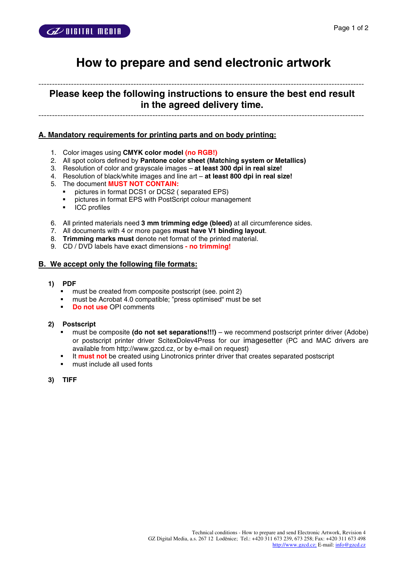

# **How to prepare and send electronic artwork**

------------------------------------------------------------------------------------------------------------------------ **Please keep the following instructions to ensure the best end result in the agreed delivery time.** 

------------------------------------------------------------------------------------------------------------------------

# **A. Mandatory requirements for printing parts and on body printing:**

- 1. Color images using **CMYK color model (no RGB!)**
- 2. All spot colors defined by **Pantone color sheet (Matching system or Metallics)**
- 3. Resolution of color and grayscale images **at least 300 dpi in real size!**
- 4. Resolution of black/white images and line art **at least 800 dpi in real size!**
- 5. The document **MUST NOT CONTAIN:**
	- pictures in format DCS1 or DCS2 ( separated EPS)
	- pictures in format EPS with PostScript colour management
	- **ICC** profiles
- 6. All printed materials need **3 mm trimming edge (bleed)** at all circumference sides.
- 7. All documents with 4 or more pages **must have V1 binding layout**.
- 8. **Trimming marks must** denote net format of the printed material.
- 9. CD / DVD labels have exact dimensions  **no trimming!**

#### **B. We accept only the following file formats:**

- **1) PDF** 
	- must be created from composite postscript (see. point 2)
	- must be Acrobat 4.0 compatible; "press optimised" must be set
	- **Do not use** OPI comments

#### **2) Postscript**

- must be composite **(do not set separations!!!)** we recommend postscript printer driver (Adobe) or postscript printer driver ScitexDolev4Press for our imagesetter (PC and MAC drivers are available from http://www.gzcd.cz, or by e-mail on request)
- **It must not** be created using Linotronics printer driver that creates separated postscript
- must include all used fonts
- **3) TIFF**